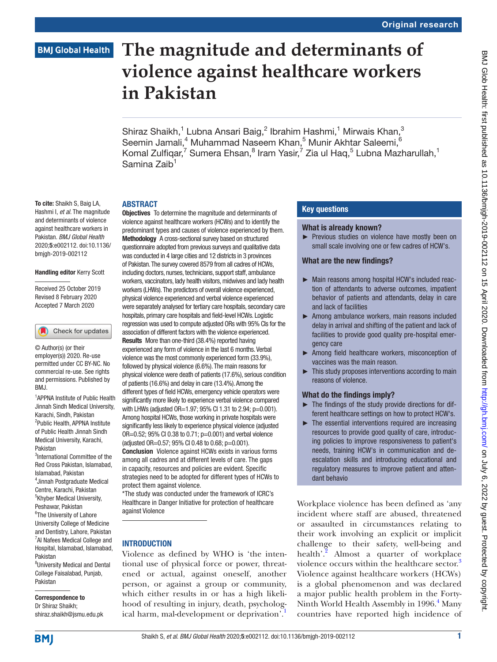# **BMJ Global Health**

# **The magnitude and determinants of violence against healthcare workers in Pakistan**

Shiraz Shaikh,<sup>1</sup> Lubna Ansari Baig,<sup>2</sup> Ibrahim Hashmi,<sup>1</sup> Mirwais Khan,<sup>3</sup> Seemin Jamali,<sup>4</sup> Muhammad Naseem Khan,<sup>5</sup> Munir Akhtar Saleemi,<sup>6</sup> Komal Zulfiqar,<sup>7</sup> Sumera Ehsan,<sup>8</sup> Iram Yasir,<sup>7</sup> Zia ul Haq,<sup>5</sup> Lubna Mazharullah,<sup>1</sup> Samina Zaib<sup>1</sup>

#### **ABSTRACT**

To cite: Shaikh S, Baig LA, Hashmi I, *et al*. The magnitude and determinants of violence against healthcare workers in Pakistan. *BMJ Global Health* 2020;5:e002112. doi:10.1136/ bmjgh-2019-002112

#### Handling editor Kerry Scott

Received 25 October 2019 Revised 8 February 2020 Accepted 7 March 2020

# Check for updates

© Author(s) (or their employer(s)) 2020. Re-use permitted under CC BY-NC. No commercial re-use. See rights and permissions. Published by BMJ.

<sup>1</sup> APPNA Institute of Public Health Jinnah Sindh Medical University, Karachi, Sindh, Pakistan 2 Public Health, APPNA Institute of Public Health Jinnah Sindh Medical University, Karachi, Pakistan

3 International Committee of the Red Cross Pakistan, Islamabad, Islamabad, Pakistan 4 Jinnah Postgraduate Medical Centre, Karachi, Pakistan 5 Khyber Medical University, Peshawar, Pakistan

<sup>6</sup>The University of Lahore University College of Medicine and Dentistry, Lahore, Pakistan <sup>7</sup>Al Nafees Medical College and Hospital, Islamabad, Islamabad, Pakistan

8 University Medical and Dental College Faisalabad, Punjab, Pakistan

# Correspondence to

Dr Shiraz Shaikh; shiraz.shaikh@jsmu.edu.pk

Objectives To determine the magnitude and determinants of violence against healthcare workers (HCWs) and to identify the predominant types and causes of violence experienced by them. Methodology A cross-sectional survey based on structured questionnaire adopted from previous surveys and qualitative data was conducted in 4 large cities and 12 districts in 3 provinces of Pakistan. The survey covered 8579 from all cadres of HCWs, including doctors, nurses, technicians, support staff, ambulance workers, vaccinators, lady health visitors, midwives and lady health workers (LHWs). The predictors of overall violence experienced, physical violence experienced and verbal violence experienced were separately analysed for tertiary care hospitals, secondary care hospitals, primary care hospitals and field-level HCWs. Logistic regression was used to compute adjusted ORs with 95% CIs for the association of different factors with the violence experienced. Results More than one-third (38.4%) reported having experienced any form of violence in the last 6 months. Verbal violence was the most commonly experienced form (33.9%), followed by physical violence (6.6%). The main reasons for physical violence were death of patients (17.6%), serious condition of patients (16.6%) and delay in care (13.4%). Among the different types of field HCWs, emergency vehicle operators were significantly more likely to experience verbal violence compared with LHWs (adjusted OR=1.97; 95% CI 1.31 to 2.94; p=0.001). Among hospital HCWs, those working in private hospitals were significantly less likely to experience physical violence (adjusted OR=0.52; 95% CI 0.38 to 0.71; p=0.001) and verbal violence (adjusted OR=0.57; 95% CI 0.48 to 0.68; p=0.001). Conclusion Violence against HCWs exists in various forms among all cadres and at different levels of care. The gaps in capacity, resources and policies are evident. Specific strategies need to be adopted for different types of HCWs to protect them against violence.

\*The study was conducted under the framework of ICRC's Healthcare in Danger Initiative for protection of healthcare against Violence

#### **INTRODUCTION**

Violence as defined by WHO is 'the intentional use of physical force or power, threatened or actual, against oneself, another person, or against a group or community, which either results in or has a high likelihood of resulting in injury, death, psychological harm, mal-development or deprivation'.

# Key questions

#### What is already known?

► Previous studies on violence have mostly been on small scale involving one or few cadres of HCW's.

#### What are the new findings?

- ► Main reasons among hospital HCW's included reaction of attendants to adverse outcomes, impatient behavior of patients and attendants, delay in care and lack of facilities
- ► Among ambulance workers, main reasons included delay in arrival and shifting of the patient and lack of facilities to provide good quality pre-hospital emergency care
- ► Among field healthcare workers, misconception of vaccines was the main reason.
- ► This study proposes interventions according to main reasons of violence.

#### What do the findings imply?

- ► The findings of the study provide directions for different healthcare settings on how to protect HCW's.
- $\blacktriangleright$  The essential interventions required are increasing resources to provide good quality of care, introducing policies to improve responsiveness to patient's needs, training HCW's in communication and deescalation skills and introducing educational and regulatory measures to improve patient and attendant behavio

Workplace violence has been defined as 'any incident where staff are abused, threatened or assaulted in circumstances relating to their work involving an explicit or implicit challenge to their safety, well-being and health'.<sup>[2](#page-12-1)</sup> Almost a quarter of workplace violence occurs within the healthcare sector.<sup>[3](#page-12-2)</sup> Violence against healthcare workers (HCWs) is a global phenomenon and was declared a major public health problem in the Forty-Ninth World Health Assembly in 1996.<sup>[4](#page-12-3)</sup> Many countries have reported high incidence of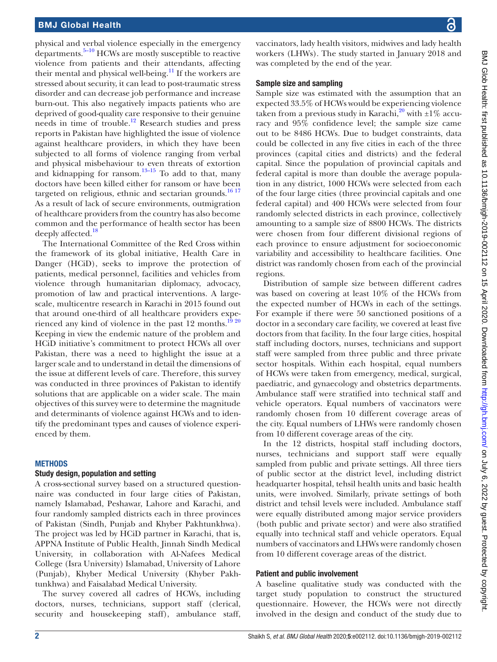physical and verbal violence especially in the emergency departments. $5-10$  HCWs are mostly susceptible to reactive violence from patients and their attendants, affecting their mental and physical well-being. $^{11}$  If the workers are stressed about security, it can lead to post-traumatic stress disorder and can decrease job performance and increase burn-out. This also negatively impacts patients who are deprived of good-quality care responsive to their genuine needs in time of trouble[.12](#page-12-6) Research studies and press reports in Pakistan have highlighted the issue of violence against healthcare providers, in which they have been subjected to all forms of violence ranging from verbal and physical misbehaviour to even threats of extortion and kidnapping for ransom. $13-15$  To add to that, many doctors have been killed either for ransom or have been targeted on religious, ethnic and sectarian grounds. $1617$ As a result of lack of secure environments, outmigration of healthcare providers from the country has also become common and the performance of health sector has been deeply affected.<sup>[18](#page-12-9)</sup>

The International Committee of the Red Cross within the framework of its global initiative, Health Care in Danger (HCiD), seeks to improve the protection of patients, medical personnel, facilities and vehicles from violence through humanitarian diplomacy, advocacy, promotion of law and practical interventions. A largescale, multicentre research in Karachi in 2015 found out that around one-third of all healthcare providers experienced any kind of violence in the past 12 months.<sup>19 20</sup> Keeping in view the endemic nature of the problem and HCiD initiative's commitment to protect HCWs all over Pakistan, there was a need to highlight the issue at a larger scale and to understand in detail the dimensions of the issue at different levels of care. Therefore, this survey was conducted in three provinces of Pakistan to identify solutions that are applicable on a wider scale. The main objectives of this survey were to determine the magnitude and determinants of violence against HCWs and to identify the predominant types and causes of violence experienced by them.

# **METHODS**

#### Study design, population and setting

A cross-sectional survey based on a structured questionnaire was conducted in four large cities of Pakistan, namely Islamabad, Peshawar, Lahore and Karachi, and four randomly sampled districts each in three provinces of Pakistan (Sindh, Punjab and Khyber Pakhtunkhwa). The project was led by HCiD partner in Karachi, that is, APPNA Institute of Public Health, Jinnah Sindh Medical University, in collaboration with Al-Nafees Medical College (Isra University) Islamabad, University of Lahore (Punjab), Khyber Medical University (Khyber Pakhtunkhwa) and Faisalabad Medical University.

The survey covered all cadres of HCWs, including doctors, nurses, technicians, support staff (clerical, security and housekeeping staff), ambulance staff,

vaccinators, lady health visitors, midwives and lady health workers (LHWs). The study started in January 2018 and was completed by the end of the year.

#### Sample size and sampling

Sample size was estimated with the assumption that an expected 33.5% of HCWs would be experiencing violence taken from a previous study in Karachi, <sup>[20](#page-12-11)</sup> with  $\pm 1\%$  accuracy and 95% confidence level; the sample size came out to be 8486 HCWs. Due to budget constraints, data could be collected in any five cities in each of the three provinces (capital cities and districts) and the federal capital. Since the population of provincial capitals and federal capital is more than double the average population in any district, 1000 HCWs were selected from each of the four large cities (three provincial capitals and one federal capital) and 400 HCWs were selected from four randomly selected districts in each province, collectively amounting to a sample size of 8800 HCWs. The districts were chosen from four different divisional regions of each province to ensure adjustment for socioeconomic variability and accessibility to healthcare facilities. One district was randomly chosen from each of the provincial regions.

Distribution of sample size between different cadres was based on covering at least 10% of the HCWs from the expected number of HCWs in each of the settings. For example if there were 50 sanctioned positions of a doctor in a secondary care facility, we covered at least five doctors from that facility. In the four large cities, hospital staff including doctors, nurses, technicians and support staff were sampled from three public and three private sector hospitals. Within each hospital, equal numbers of HCWs were taken from emergency, medical, surgical, paediatric, and gynaecology and obstetrics departments. Ambulance staff were stratified into technical staff and vehicle operators. Equal numbers of vaccinators were randomly chosen from 10 different coverage areas of the city. Equal numbers of LHWs were randomly chosen from 10 different coverage areas of the city.

In the 12 districts, hospital staff including doctors, nurses, technicians and support staff were equally sampled from public and private settings. All three tiers of public sector at the district level, including district headquarter hospital, tehsil health units and basic health units, were involved. Similarly, private settings of both district and tehsil levels were included. Ambulance staff were equally distributed among major service providers (both public and private sector) and were also stratified equally into technical staff and vehicle operators. Equal numbers of vaccinators and LHWs were randomly chosen from 10 different coverage areas of the district.

# Patient and public involvement

A baseline qualitative study was conducted with the target study population to construct the structured questionnaire. However, the HCWs were not directly involved in the design and conduct of the study due to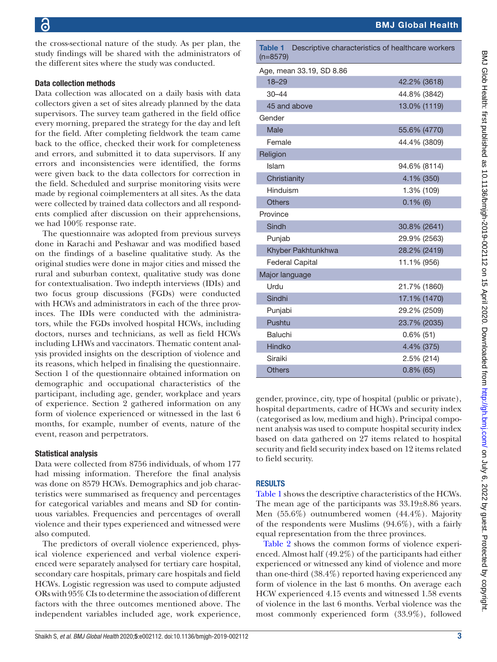the cross-sectional nature of the study. As per plan, the study findings will be shared with the administrators of the different sites where the study was conducted.

#### Data collection methods

Data collection was allocated on a daily basis with data collectors given a set of sites already planned by the data supervisors. The survey team gathered in the field office every morning, prepared the strategy for the day and left for the field. After completing fieldwork the team came back to the office, checked their work for completeness and errors, and submitted it to data supervisors. If any errors and inconsistencies were identified, the forms were given back to the data collectors for correction in the field. Scheduled and surprise monitoring visits were made by regional coimplementers at all sites. As the data were collected by trained data collectors and all respondents complied after discussion on their apprehensions, we had 100% response rate.

The questionnaire was adopted from previous surveys done in Karachi and Peshawar and was modified based on the findings of a baseline qualitative study. As the original studies were done in major cities and missed the rural and suburban context, qualitative study was done for contextualisation. Two indepth interviews (IDIs) and two focus group discussions (FGDs) were conducted with HCWs and administrators in each of the three provinces. The IDIs were conducted with the administrators, while the FGDs involved hospital HCWs, including doctors, nurses and technicians, as well as field HCWs including LHWs and vaccinators. Thematic content analysis provided insights on the description of violence and its reasons, which helped in finalising the questionnaire. Section 1 of the questionnaire obtained information on demographic and occupational characteristics of the participant, including age, gender, workplace and years of experience. Section 2 gathered information on any form of violence experienced or witnessed in the last 6 months, for example, number of events, nature of the event, reason and perpetrators.

# Statistical analysis

Data were collected from 8756 individuals, of whom 177 had missing information. Therefore the final analysis was done on 8579 HCWs. Demographics and job characteristics were summarised as frequency and percentages for categorical variables and means and SD for continuous variables. Frequencies and percentages of overall violence and their types experienced and witnessed were also computed.

The predictors of overall violence experienced, physical violence experienced and verbal violence experienced were separately analysed for tertiary care hospital, secondary care hospitals, primary care hospitals and field HCWs. Logistic regression was used to compute adjusted ORs with 95% CIs to determine the association of different factors with the three outcomes mentioned above. The independent variables included age, work experience,

<span id="page-2-0"></span>Table 1 Descriptive characteristics of healthcare workers (n=8579)

| Age, mean 33.19, SD 8.86 |              |
|--------------------------|--------------|
| $18 - 29$                | 42.2% (3618) |
| $30 - 44$                | 44.8% (3842) |
| 45 and above             | 13.0% (1119) |
| Gender                   |              |
| Male                     | 55.6% (4770) |
| Female                   | 44.4% (3809) |
| Religion                 |              |
| Islam                    | 94.6% (8114) |
| Christianity             | 4.1% (350)   |
| Hinduism                 | 1.3% (109)   |
| <b>Others</b>            | $0.1\%$ (6)  |
| Province                 |              |
| Sindh                    | 30.8% (2641) |
| Punjab                   | 29.9% (2563) |
| Khyber Pakhtunkhwa       | 28.2% (2419) |
| <b>Federal Capital</b>   | 11.1% (956)  |
| Major language           |              |
| Urdu                     | 21.7% (1860) |
| Sindhi                   | 17.1% (1470) |
| Punjabi                  | 29.2% (2509) |
| Pushtu                   | 23.7% (2035) |
| Baluchi                  | $0.6\%$ (51) |
| Hindko                   | 4.4% (375)   |
| Siraiki                  | 2.5% (214)   |
| <b>Others</b>            | $0.8\%$ (65) |

gender, province, city, type of hospital (public or private), hospital departments, cadre of HCWs and security index (categorised as low, medium and high). Principal component analysis was used to compute hospital security index based on data gathered on 27 items related to hospital security and field security index based on 12 items related to field security.

# **RESULTS**

[Table](#page-2-0) 1 shows the descriptive characteristics of the HCWs. The mean age of the participants was  $33.19\pm8.86$  years. Men (55.6%) outnumbered women (44.4%). Majority of the respondents were Muslims (94.6%), with a fairly equal representation from the three provinces.

[Table](#page-3-0) 2 shows the common forms of violence experienced. Almost half (49.2%) of the participants had either experienced or witnessed any kind of violence and more than one-third (38.4%) reported having experienced any form of violence in the last 6 months. On average each HCW experienced 4.15 events and witnessed 1.58 events of violence in the last 6 months. Verbal violence was the most commonly experienced form (33.9%), followed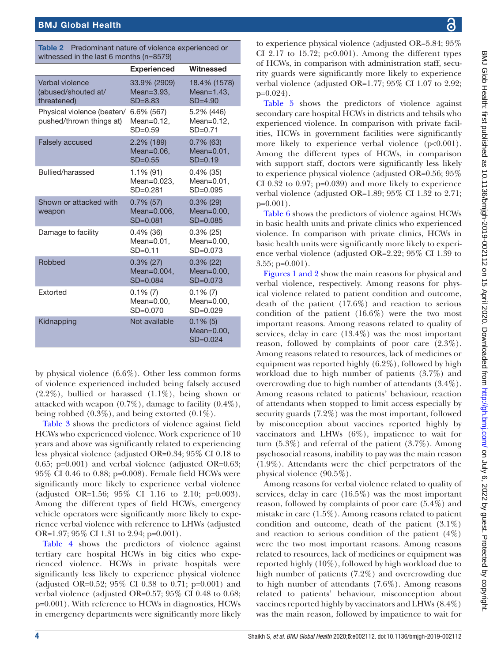<span id="page-3-0"></span>

| <b>Table 2</b> Predominant nature of violence experienced or |
|--------------------------------------------------------------|
| witnessed in the last 6 months $(n=8579)$                    |

|                                                        | <b>Experienced</b>                           | Witnessed                                     |
|--------------------------------------------------------|----------------------------------------------|-----------------------------------------------|
| Verbal violence<br>(abused/shouted at/<br>threatened)  | 33.9% (2909)<br>Mean=3.93,<br>$SD = 8.83$    | 18.4% (1578)<br>Mean= $1.43$ ,<br>$SD=4.90$   |
| Physical violence (beaten/<br>pushed/thrown things at) | 6.6% (567)<br>Mean=0.12,<br>$SD = 0.59$      | 5.2% (446)<br>Mean= $0.12$ ,<br>$SD = 0.71$   |
| <b>Falsely accused</b>                                 | 2.2% (189)<br>$Mean=0.06$ ,<br>$SD=0.55$     | $0.7\%$ (63)<br>$Mean=0.01$ ,<br>$SD=0.19$    |
| Bullied/harassed                                       | $1.1\%$ (91)<br>Mean=0.023,<br>$SD = 0.281$  | $0.4\%$ (35)<br>$Mean=0.01$ ,<br>$SD = 0.095$ |
| Shown or attacked with<br>weapon                       | $0.7\%$ (57)<br>Mean=0,006.<br>$SD = 0.081$  | $0.3\%$ (29)<br>$Mean=0.00$ .<br>$SD = 0.085$ |
| Damage to facility                                     | $0.4\%$ (36)<br>$Mean=0.01$ ,<br>$SD = 0.11$ | $0.3\%$ (25)<br>$Mean=0.00$ ,<br>$SD = 0.073$ |
| Robbed                                                 | $0.3\%$ (27)<br>Mean=0.004,<br>$SD = 0.084$  | $0.3\%$ (22)<br>$Mean=0.00$ ,<br>$SD = 0.073$ |
| Extorted                                               | $0.1\%$ (7)<br>$Mean=0.00$ .<br>$SD = 0.070$ | $0.1\%$ (7)<br>Mean=0.00,<br>$SD = 0.029$     |
| Kidnapping                                             | Not available                                | $0.1\%$ (5)<br>$Mean=0.00$ .<br>$SD = 0.024$  |

by physical violence (6.6%). Other less common forms of violence experienced included being falsely accused  $(2.2\%)$ , bullied or harassed  $(1.1\%)$ , being shown or attacked with weapon (0.7%), damage to facility (0.4%), being robbed (0.3%), and being extorted (0.1%).

[Table](#page-4-0) 3 shows the predictors of violence against field HCWs who experienced violence. Work experience of 10 years and above was significantly related to experiencing less physical violence (adjusted OR=0.34; 95% CI 0.18 to 0.65; p=0.001) and verbal violence (adjusted OR=0.63; 95% CI 0.46 to 0.88; p=0.008). Female field HCWs were significantly more likely to experience verbal violence (adjusted OR=1.56; 95% CI 1.16 to 2.10; p=0.003). Among the different types of field HCWs, emergency vehicle operators were significantly more likely to experience verbal violence with reference to LHWs (adjusted OR=1.97; 95% CI 1.31 to 2.94; p=0.001).

[Table](#page-5-0) 4 shows the predictors of violence against tertiary care hospital HCWs in big cities who experienced violence. HCWs in private hospitals were significantly less likely to experience physical violence (adjusted OR=0.52; 95% CI 0.38 to 0.71; p=0.001) and verbal violence (adjusted OR=0.57; 95% CI 0.48 to 0.68; p=0.001). With reference to HCWs in diagnostics, HCWs in emergency departments were significantly more likely

to experience physical violence (adjusted OR=5.84; 95% CI 2.17 to 15.72;  $p<0.001$ ). Among the different types of HCWs, in comparison with administration staff, security guards were significantly more likely to experience verbal violence (adjusted OR=1.77; 95% CI 1.07 to 2.92; p=0.024).

[Table](#page-6-0) 5 shows the predictors of violence against secondary care hospital HCWs in districts and tehsils who experienced violence. In comparison with private facilities, HCWs in government facilities were significantly more likely to experience verbal violence ( $p<0.001$ ). Among the different types of HCWs, in comparison with support staff, doctors were significantly less likely to experience physical violence (adjusted OR=0.56; 95% CI 0.32 to 0.97;  $p=0.039$ ) and more likely to experience verbal violence (adjusted OR=1.89; 95% CI 1.32 to 2.71; p=0.001).

[Table](#page-7-0) 6 shows the predictors of violence against HCWs in basic health units and private clinics who experienced violence. In comparison with private clinics, HCWs in basic health units were significantly more likely to experience verbal violence (adjusted OR=2.22; 95% CI 1.39 to  $3.55$ ; p=0.001).

[Figures](#page-7-1) 1 and 2 show the main reasons for physical and verbal violence, respectively. Among reasons for physical violence related to patient condition and outcome, death of the patient (17.6%) and reaction to serious condition of the patient  $(16.6\%)$  were the two most important reasons. Among reasons related to quality of services, delay in care (13.4%) was the most important reason, followed by complaints of poor care (2.3%). Among reasons related to resources, lack of medicines or equipment was reported highly (6.2%), followed by high workload due to high number of patients (3.7%) and overcrowding due to high number of attendants (3.4%). Among reasons related to patients' behaviour, reaction of attendants when stopped to limit access especially by security guards (7.2%) was the most important, followed by misconception about vaccines reported highly by vaccinators and LHWs (6%), impatience to wait for turn (5.3%) and referral of the patient (3.7%). Among psychosocial reasons, inability to pay was the main reason (1.9%). Attendants were the chief perpetrators of the physical violence (90.5%).

Among reasons for verbal violence related to quality of services, delay in care (16.5%) was the most important reason, followed by complaints of poor care (5.4%) and mistake in care (1.5%). Among reasons related to patient condition and outcome, death of the patient  $(3.1\%)$ and reaction to serious condition of the patient  $(4\%)$ were the two most important reasons. Among reasons related to resources, lack of medicines or equipment was reported highly (10%), followed by high workload due to high number of patients (7.2%) and overcrowding due to high number of attendants (7.6%). Among reasons related to patients' behaviour, misconception about vaccines reported highly by vaccinators and LHWs (8.4%) was the main reason, followed by impatience to wait for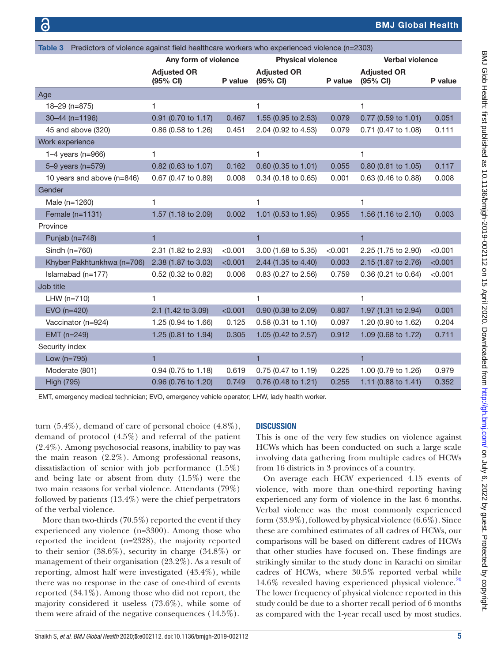<span id="page-4-0"></span>

| Predictors of violence against field healthcare workers who experienced violence (n=2303)<br>Table 3 |                                |         |                                |         |                                |         |
|------------------------------------------------------------------------------------------------------|--------------------------------|---------|--------------------------------|---------|--------------------------------|---------|
|                                                                                                      | Any form of violence           |         | <b>Physical violence</b>       |         | <b>Verbal violence</b>         |         |
|                                                                                                      | <b>Adjusted OR</b><br>(95% CI) | P value | <b>Adjusted OR</b><br>(95% CI) | P value | <b>Adjusted OR</b><br>(95% CI) | P value |
| Age                                                                                                  |                                |         |                                |         |                                |         |
| 18-29 (n=875)                                                                                        | 1                              |         | 1                              |         | 1                              |         |
| 30-44 (n=1196)                                                                                       | 0.91 (0.70 to 1.17)            | 0.467   | 1.55 (0.95 to 2.53)            | 0.079   | 0.77 (0.59 to 1.01)            | 0.051   |
| 45 and above (320)                                                                                   | 0.86 (0.58 to 1.26)            | 0.451   | 2.04 (0.92 to 4.53)            | 0.079   | 0.71 (0.47 to 1.08)            | 0.111   |
| Work experience                                                                                      |                                |         |                                |         |                                |         |
| 1-4 years ( $n=966$ )                                                                                | 1                              |         | 1                              |         | 1                              |         |
| 5-9 years (n=579)                                                                                    | $0.82$ (0.63 to 1.07)          | 0.162   | $0.60$ (0.35 to 1.01)          | 0.055   | $0.80$ (0.61 to 1.05)          | 0.117   |
| 10 years and above (n=846)                                                                           | 0.67 (0.47 to 0.89)            | 0.008   | 0.34 (0.18 to 0.65)            | 0.001   | 0.63 (0.46 to 0.88)            | 0.008   |
| Gender                                                                                               |                                |         |                                |         |                                |         |
| Male (n=1260)                                                                                        | 1                              |         | 1                              |         | 1                              |         |
| Female (n=1131)                                                                                      | 1.57 (1.18 to 2.09)            | 0.002   | 1.01 (0.53 to 1.95)            | 0.955   | 1.56 (1.16 to 2.10)            | 0.003   |
| Province                                                                                             |                                |         |                                |         |                                |         |
| Punjab (n=748)                                                                                       | $\mathbf{1}$                   |         | $\mathbf{1}$                   |         | $\mathbf{1}$                   |         |
| Sindh ( $n=760$ )                                                                                    | 2.31 (1.82 to 2.93)            | < 0.001 | 3.00 (1.68 to 5.35)            | < 0.001 | 2.25 (1.75 to 2.90)            | < 0.001 |
| Khyber Pakhtunkhwa (n=706)                                                                           | 2.38 (1.87 to 3.03)            | < 0.001 | 2.44 (1.35 to 4.40)            | 0.003   | 2.15 (1.67 to 2.76)            | < 0.001 |
| Islamabad $(n=177)$                                                                                  | 0.52 (0.32 to 0.82)            | 0.006   | 0.83 (0.27 to 2.56)            | 0.759   | 0.36 (0.21 to 0.64)            | < 0.001 |
| Job title                                                                                            |                                |         |                                |         |                                |         |
| LHW $(n=710)$                                                                                        | 1                              |         | 1                              |         | 1                              |         |
| EVO (n=420)                                                                                          | 2.1 (1.42 to 3.09)             | < 0.001 | 0.90 (0.38 to 2.09)            | 0.807   | 1.97 (1.31 to 2.94)            | 0.001   |
| Vaccinator (n=924)                                                                                   | 1.25 (0.94 to 1.66)            | 0.125   | 0.58 (0.31 to 1.10)            | 0.097   | 1.20 (0.90 to 1.62)            | 0.204   |
| EMT (n=249)                                                                                          | 1.25 (0.81 to 1.94)            | 0.305   | 1.05 (0.42 to 2.57)            | 0.912   | 1.09 (0.68 to 1.72)            | 0.711   |
| Security index                                                                                       |                                |         |                                |         |                                |         |
| Low (n=795)                                                                                          | $\mathbf{1}$                   |         | $\mathbf{1}$                   |         | $\mathbf{1}$                   |         |
| Moderate (801)                                                                                       | 0.94 (0.75 to 1.18)            | 0.619   | 0.75 (0.47 to 1.19)            | 0.225   | 1.00 (0.79 to 1.26)            | 0.979   |
| <b>High (795)</b>                                                                                    | 0.96 (0.76 to 1.20)            | 0.749   | 0.76 (0.48 to 1.21)            | 0.255   | 1.11 (0.88 to 1.41)            | 0.352   |

EMT, emergency medical technician; EVO, emergency vehicle operator; LHW, lady health worker.

turn (5.4%), demand of care of personal choice (4.8%), demand of protocol (4.5%) and referral of the patient (2.4%). Among psychosocial reasons, inability to pay was the main reason (2.2%). Among professional reasons, dissatisfaction of senior with job performance (1.5%) and being late or absent from duty (1.5%) were the two main reasons for verbal violence. Attendants (79%) followed by patients (13.4%) were the chief perpetrators of the verbal violence.

More than two-thirds (70.5%) reported the event if they experienced any violence (n=3300). Among those who reported the incident (n=2328), the majority reported to their senior (38.6%), security in charge (34.8%) or management of their organisation (23.2%). As a result of reporting, almost half were investigated (43.4%), while there was no response in the case of one-third of events reported (34.1%). Among those who did not report, the majority considered it useless (73.6%), while some of them were afraid of the negative consequences (14.5%).

#### **DISCUSSION**

This is one of the very few studies on violence against HCWs which has been conducted on such a large scale involving data gathering from multiple cadres of HCWs from 16 districts in 3 provinces of a country.

On average each HCW experienced 4.15 events of violence, with more than one-third reporting having experienced any form of violence in the last 6 months. Verbal violence was the most commonly experienced form (33.9%), followed by physical violence (6.6%). Since these are combined estimates of all cadres of HCWs, our comparisons will be based on different cadres of HCWs that other studies have focused on. These findings are strikingly similar to the study done in Karachi on similar cadres of HCWs, where 30.5% reported verbal while 14.6% revealed having experienced physical violence.<sup>20</sup> The lower frequency of physical violence reported in this study could be due to a shorter recall period of 6 months as compared with the 1-year recall used by most studies.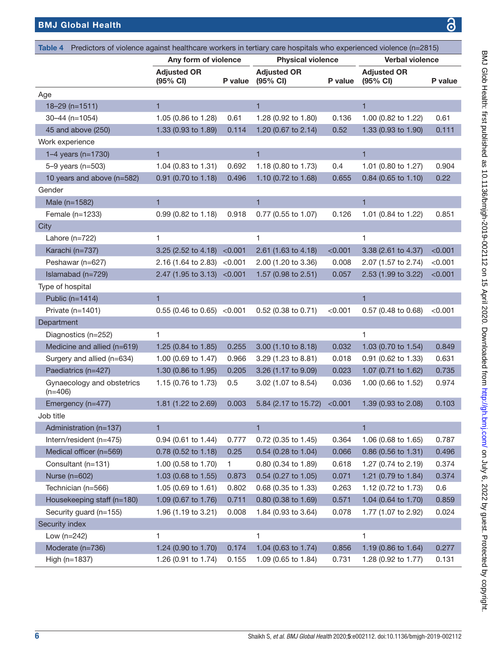<span id="page-5-0"></span>

| <b>BMJ Global Health</b>                                                                                                  |                                |         |                                |         |                                | 3       |
|---------------------------------------------------------------------------------------------------------------------------|--------------------------------|---------|--------------------------------|---------|--------------------------------|---------|
|                                                                                                                           |                                |         |                                |         |                                |         |
| Predictors of violence against healthcare workers in tertiary care hospitals who experienced violence (n=2815)<br>Table 4 |                                |         |                                |         |                                |         |
|                                                                                                                           | Any form of violence           |         | <b>Physical violence</b>       |         | <b>Verbal violence</b>         |         |
|                                                                                                                           | <b>Adjusted OR</b><br>(95% CI) | P value | <b>Adjusted OR</b><br>(95% CI) | P value | <b>Adjusted OR</b><br>(95% CI) | P value |
| Age                                                                                                                       |                                |         |                                |         |                                |         |
| $18 - 29$ (n=1511)                                                                                                        | 1                              |         | 1                              |         | 1                              |         |
| $30 - 44$ (n=1054)                                                                                                        | 1.05 (0.86 to 1.28)            | 0.61    | 1.28 (0.92 to 1.80)            | 0.136   | 1.00 (0.82 to 1.22)            | 0.61    |
| 45 and above (250)                                                                                                        | 1.33 (0.93 to 1.89)            | 0.114   | 1.20 (0.67 to 2.14)            | 0.52    | 1.33 (0.93 to 1.90)            | 0.111   |
| Work experience                                                                                                           |                                |         |                                |         |                                |         |
| 1–4 years ( $n=1730$ )                                                                                                    | 1                              |         | $\mathbf{1}$                   |         | 1                              |         |
| $5 - 9$ years (n=503)                                                                                                     | 1.04 (0.83 to 1.31)            | 0.692   | 1.18 (0.80 to 1.73)            | 0.4     | 1.01 (0.80 to 1.27)            | 0.904   |
| 10 years and above (n=582)                                                                                                | 0.91 (0.70 to 1.18)            | 0.496   | 1.10 (0.72 to 1.68)            | 0.655   | 0.84 (0.65 to 1.10)            | 0.22    |
| Gender                                                                                                                    |                                |         |                                |         |                                |         |
| Male (n=1582)                                                                                                             | $\mathbf{1}$                   |         | $\mathbf{1}$                   |         | $\overline{1}$                 |         |
| Female (n=1233)                                                                                                           | 0.99 (0.82 to 1.18)            | 0.918   | 0.77 (0.55 to 1.07)            | 0.126   | 1.01 (0.84 to 1.22)            | 0.851   |
| City                                                                                                                      |                                |         |                                |         |                                |         |
| Lahore (n=722)                                                                                                            | 1                              |         | 1                              |         | 1                              |         |
| Karachi (n=737)                                                                                                           | 3.25 (2.52 to 4.18)            | < 0.001 | 2.61 (1.63 to 4.18)            | < 0.001 | 3.38 (2.61 to 4.37)            | < 0.001 |
| Peshawar (n=627)                                                                                                          | 2.16 (1.64 to 2.83)            | < 0.001 | 2.00 (1.20 to 3.36)            | 0.008   | 2.07 (1.57 to 2.74)            | < 0.001 |
| Islamabad (n=729)                                                                                                         | $2.47$ (1.95 to 3.13)          | < 0.001 | 1.57 (0.98 to 2.51)            | 0.057   | 2.53 (1.99 to 3.22)            | < 0.001 |
| Type of hospital                                                                                                          |                                |         |                                |         |                                |         |
| Public (n=1414)                                                                                                           | $\mathbf{1}$                   |         |                                |         | $\mathbf{1}$                   |         |
| Private $(n=1401)$                                                                                                        | $0.55(0.46 \text{ to } 0.65)$  | < 0.001 | 0.52 (0.38 to 0.71)            | < 0.001 | 0.57 (0.48 to 0.68)            | < 0.001 |
| Department                                                                                                                |                                |         |                                |         |                                |         |
| Diagnostics (n=252)                                                                                                       | 1.                             |         |                                |         | 1                              |         |
| Medicine and allied (n=619)                                                                                               | 1.25 (0.84 to 1.85)            | 0.255   | 3.00 (1.10 to 8.18)            | 0.032   | 1.03 (0.70 to 1.54)            | 0.849   |
| Surgery and allied (n=634)                                                                                                | 1.00 (0.69 to 1.47)            | 0.966   | 3.29 (1.23 to 8.81)            | 0.018   | 0.91 (0.62 to 1.33)            | 0.631   |
| Paediatrics (n=427)                                                                                                       | 1.30 (0.86 to 1.95)            | 0.205   | 3.26 (1.17 to 9.09)            | 0.023   | 1.07 (0.71 to 1.62)            | 0.735   |
| Gynaecology and obstetrics<br>$(n=406)$                                                                                   | 1.15 (0.76 to 1.73)            | 0.5     | 3.02 (1.07 to 8.54)            | 0.036   | 1.00 (0.66 to 1.52)            | 0.974   |
| Emergency (n=477)                                                                                                         | 1.81 (1.22 to 2.69)            | 0.003   | 5.84 (2.17 to 15.72)           | < 0.001 | 1.39 (0.93 to 2.08)            | 0.103   |
| Job title                                                                                                                 |                                |         |                                |         |                                |         |
| Administration (n=137)                                                                                                    | $\mathbf{1}$                   |         | $\mathbf{1}$                   |         | $\blacksquare$                 |         |
| Intern/resident (n=475)                                                                                                   | 0.94 (0.61 to 1.44)            | 0.777   | 0.72 (0.35 to 1.45)            | 0.364   | 1.06 (0.68 to 1.65)            | 0.787   |
| Medical officer (n=569)                                                                                                   | 0.78 (0.52 to 1.18)            | 0.25    | 0.54 (0.28 to 1.04)            | 0.066   | 0.86 (0.56 to 1.31)            | 0.496   |

Consultant (n=131) 1.00 (0.58 to 1.70) 1 0.80 (0.34 to 1.89) 0.618 1.27 (0.74 to 2.19) 0.374 Nurse (n=602) 1.03 (0.68 to 1.55) 0.873 0.54 (0.27 to 1.05) 0.071 1.21 (0.79 to 1.84) 0.374 Technician (n=566) 1.05 (0.69 to 1.61) 0.802 0.68 (0.35 to 1.33) 0.263 1.12 (0.72 to 1.73) 0.6 Housekeeping staff (n=180) 1.09 (0.67 to 1.76) 0.711 0.80 (0.38 to 1.69) 0.571 1.04 (0.64 to 1.70) 0.859 Security guard (n=155) 1.96 (1.19 to 3.21) 0.008 1.84 (0.93 to 3.64) 0.078 1.77 (1.07 to 2.92) 0.024

Moderate (n=736) 1.24 (0.90 to 1.70) 0.174 1.04 (0.63 to 1.74) 0.856 1.19 (0.86 to 1.64) 0.277 High (n=1837) 1.26 (0.91 to 1.74) 0.155 1.09 (0.65 to 1.84) 0.731 1.28 (0.92 to 1.77) 0.131

 $Low (n=242)$  1 1 1 1

Security index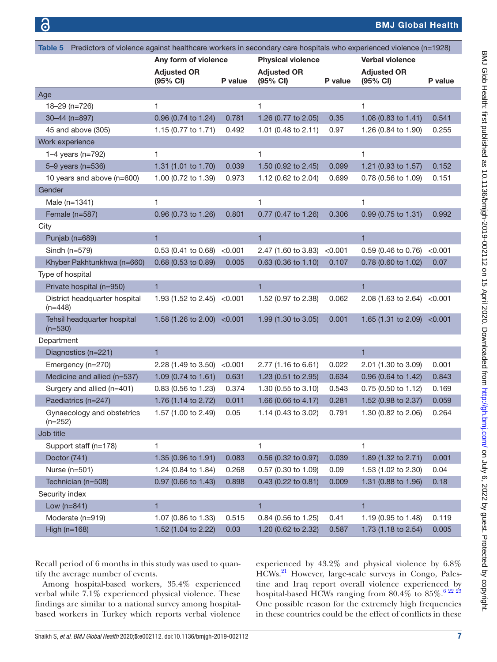<span id="page-6-0"></span>

| Predictors of violence against healthcare workers in secondary care hospitals who experienced violence (n=1928)<br>Table 5 |                                |         |                                |                |                                |         |
|----------------------------------------------------------------------------------------------------------------------------|--------------------------------|---------|--------------------------------|----------------|--------------------------------|---------|
|                                                                                                                            | Any form of violence           |         | <b>Physical violence</b>       |                | <b>Verbal violence</b>         |         |
|                                                                                                                            | <b>Adjusted OR</b><br>(95% CI) | P value | <b>Adjusted OR</b><br>(95% CI) | <b>P</b> value | <b>Adjusted OR</b><br>(95% CI) | P value |
| Age                                                                                                                        |                                |         |                                |                |                                |         |
| 18-29 (n=726)                                                                                                              | 1                              |         | 1                              |                | 1                              |         |
| 30-44 (n=897)                                                                                                              | 0.96 (0.74 to 1.24)            | 0.781   | 1.26 (0.77 to 2.05)            | 0.35           | 1.08 (0.83 to 1.41)            | 0.541   |
| 45 and above (305)                                                                                                         | 1.15 (0.77 to 1.71)            | 0.492   | 1.01 (0.48 to 2.11)            | 0.97           | 1.26 (0.84 to 1.90)            | 0.255   |
| Work experience                                                                                                            |                                |         |                                |                |                                |         |
| 1-4 years ( $n=792$ )                                                                                                      | 1                              |         | 1                              |                | 1                              |         |
| 5-9 years (n=536)                                                                                                          | 1.31 (1.01 to 1.70)            | 0.039   | 1.50 (0.92 to 2.45)            | 0.099          | 1.21 (0.93 to 1.57)            | 0.152   |
| 10 years and above (n=600)                                                                                                 | 1.00 (0.72 to 1.39)            | 0.973   | 1.12 (0.62 to 2.04)            | 0.699          | 0.78 (0.56 to 1.09)            | 0.151   |
| Gender                                                                                                                     |                                |         |                                |                |                                |         |
| Male (n=1341)                                                                                                              | 1                              |         | 1                              |                | 1                              |         |
| Female (n=587)                                                                                                             | 0.96 (0.73 to 1.26)            | 0.801   | 0.77 (0.47 to 1.26)            | 0.306          | 0.99 (0.75 to 1.31)            | 0.992   |
| City                                                                                                                       |                                |         |                                |                |                                |         |
| Punjab (n=689)                                                                                                             | $\mathbf{1}$                   |         | 1                              |                | $\mathbf{1}$                   |         |
| Sindh $(n=579)$                                                                                                            | 0.53 (0.41 to 0.68)            | < 0.001 | 2.47 (1.60 to 3.83)            | < 0.001        | 0.59 (0.46 to 0.76)            | < 0.001 |
| Khyber Pakhtunkhwa (n=660)                                                                                                 | 0.68 (0.53 to 0.89)            | 0.005   | 0.63 (0.36 to 1.10)            | 0.107          | 0.78 (0.60 to 1.02)            | 0.07    |
| Type of hospital                                                                                                           |                                |         |                                |                |                                |         |
| Private hospital (n=950)                                                                                                   | 1                              |         | 1                              |                | $\mathbf{1}$                   |         |
| District headquarter hospital<br>$(n=448)$                                                                                 | 1.93 (1.52 to 2.45) $<$ 0.001  |         | 1.52 (0.97 to 2.38)            | 0.062          | 2.08 (1.63 to 2.64) $<$ 0.001  |         |
| Tehsil headquarter hospital<br>$(n=530)$                                                                                   | 1.58 (1.26 to 2.00) < 0.001    |         | 1.99 (1.30 to 3.05)            | 0.001          | 1.65 (1.31 to 2.09)            | < 0.001 |
| Department                                                                                                                 |                                |         |                                |                |                                |         |
| Diagnostics (n=221)                                                                                                        | $\mathbf{1}$                   |         |                                |                | $\mathbf{1}$                   |         |
| Emergency (n=270)                                                                                                          | 2.28 (1.49 to 3.50)            | < 0.001 | 2.77 (1.16 to 6.61)            | 0.022          | 2.01 (1.30 to 3.09)            | 0.001   |
| Medicine and allied (n=537)                                                                                                | 1.09 (0.74 to 1.61)            | 0.631   | 1.23 (0.51 to 2.95)            | 0.634          | 0.96 (0.64 to 1.42)            | 0.843   |
| Surgery and allied (n=401)                                                                                                 | 0.83 (0.56 to 1.23)            | 0.374   | 1.30 (0.55 to 3.10)            | 0.543          | 0.75 (0.50 to 1.12)            | 0.169   |
| Paediatrics (n=247)                                                                                                        | 1.76 (1.14 to 2.72)            | 0.011   | 1.66 (0.66 to 4.17)            | 0.281          | 1.52 (0.98 to 2.37)            | 0.059   |
| Gynaecology and obstetrics<br>$(n=252)$                                                                                    | 1.57 (1.00 to 2.49)            | 0.05    | 1.14 (0.43 to 3.02)            | 0.791          | 1.30 (0.82 to 2.06)            | 0.264   |
| Job title                                                                                                                  |                                |         |                                |                |                                |         |
| Support staff (n=178)                                                                                                      | 1                              |         | 1                              |                | 1                              |         |
| Doctor (741)                                                                                                               | 1.35 (0.96 to 1.91)            | 0.083   | 0.56 (0.32 to 0.97)            | 0.039          | 1.89 (1.32 to 2.71)            | 0.001   |
| Nurse (n=501)                                                                                                              | 1.24 (0.84 to 1.84)            | 0.268   | 0.57 (0.30 to 1.09)            | 0.09           | 1.53 (1.02 to 2.30)            | 0.04    |
| Technician (n=508)                                                                                                         | 0.97 (0.66 to 1.43)            | 0.898   | 0.43 (0.22 to 0.81)            | 0.009          | 1.31 (0.88 to 1.96)            | 0.18    |
| Security index                                                                                                             |                                |         |                                |                |                                |         |
| Low $(n=841)$                                                                                                              | 1                              |         | 1                              |                | $\mathbf{1}$                   |         |
| Moderate (n=919)                                                                                                           | 1.07 (0.86 to 1.33)            | 0.515   | 0.84 (0.56 to 1.25)            | 0.41           | 1.19 (0.95 to 1.48)            | 0.119   |
| High (n=168)                                                                                                               | 1.52 (1.04 to 2.22)            | 0.03    | 1.20 (0.62 to 2.32)            | 0.587          | 1.73 (1.18 to 2.54)            | 0.005   |

Recall period of 6 months in this study was used to quantify the average number of events.

Among hospital-based workers, 35.4% experienced verbal while 7.1% experienced physical violence. These findings are similar to a national survey among hospitalbased workers in Turkey which reports verbal violence

experienced by 43.2% and physical violence by 6.8% HCWs[.21](#page-12-12) However, large-scale surveys in Congo, Palestine and Iraq report overall violence experienced by hospital-based HCWs ranging from  $80.4\%$  to  $85\%$ .<sup>6 22 23</sup> One possible reason for the extremely high frequencies in these countries could be the effect of conflicts in these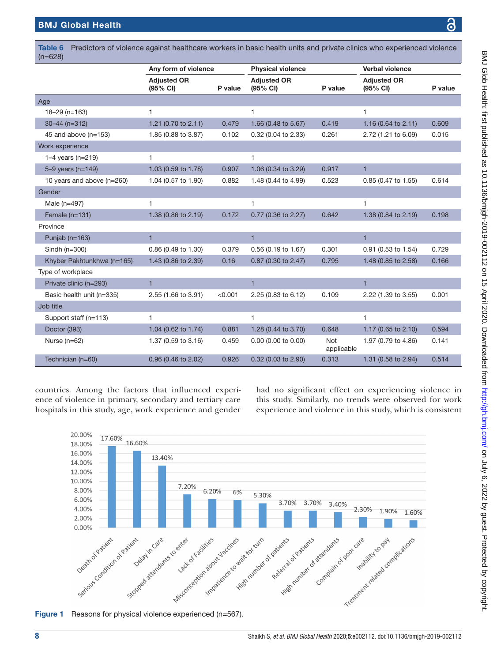Age

Work experiene 1–4 years ( $n=$  $5-9$  years (n.

Gender

Province Punjab  $(n=16)$ 

Type of workpl

Job title

| $=628$                     |                                |         |                                |                          |                                |         |
|----------------------------|--------------------------------|---------|--------------------------------|--------------------------|--------------------------------|---------|
|                            | Any form of violence           |         | <b>Physical violence</b>       |                          |                                |         |
|                            | <b>Adjusted OR</b><br>(95% CI) | P value | <b>Adjusted OR</b><br>(95% CI) | P value                  | <b>Adjusted OR</b><br>(95% CI) | P value |
| Įе                         |                                |         |                                |                          |                                |         |
| 18-29 (n=163)              | $\mathbf{1}$                   |         | 1                              |                          | 1                              |         |
| $30 - 44$ (n=312)          | 1.21 (0.70 to $2.11$ )         | 0.479   | 1.66 (0.48 to 5.67)            | 0.419                    | 1.16 (0.64 to 2.11)            | 0.609   |
| 45 and above (n=153)       | 1.85 (0.88 to 3.87)            | 0.102   | 0.32 (0.04 to 2.33)            | 0.261                    | 2.72 (1.21 to 6.09)            | 0.015   |
| ork experience             |                                |         |                                |                          |                                |         |
| 1-4 years ( $n=219$ )      | 1                              |         | 1                              |                          |                                |         |
| 5-9 years (n=149)          | 1.03 (0.59 to 1.78)            | 0.907   | 1.06 (0.34 to 3.29)            | 0.917                    | $\mathbf{1}$                   |         |
| 10 years and above (n=260) | 1.04 (0.57 to 1.90)            | 0.882   | 1.48 (0.44 to 4.99)            | 0.523                    | 0.85 (0.47 to 1.55)            | 0.614   |
| ender                      |                                |         |                                |                          |                                |         |
| Male (n=497)               | $\mathbf{1}$                   |         | 1                              |                          | 1                              |         |
| Female (n=131)             | 1.38 (0.86 to 2.19)            | 0.172   | 0.77 (0.36 to 2.27)            | 0.642                    | 1.38 (0.84 to 2.19)            | 0.198   |
| ovince                     |                                |         |                                |                          |                                |         |
| Punjab ( $n=163$ )         | $\mathbf{1}$                   |         | $\mathbf{1}$                   |                          | $\mathbf{1}$                   |         |
| Sindh (n=300)              | 0.86 (0.49 to 1.30)            | 0.379   | 0.56 (0.19 to 1.67)            | 0.301                    | 0.91 (0.53 to 1.54)            | 0.729   |
| Khyber Pakhtunkhwa (n=165) | 1.43 (0.86 to 2.39)            | 0.16    | 0.87 (0.30 to 2.47)            | 0.795                    | 1.48 (0.85 to 2.58)            | 0.166   |
| pe of workplace            |                                |         |                                |                          |                                |         |
| Private clinic (n=293)     | $\mathbf 1$                    |         | $\mathbf{1}$                   |                          | $\mathbf{1}$                   |         |
| Basic health unit (n=335)  | 2.55 (1.66 to 3.91)            | < 0.001 | 2.25 (0.83 to 6.12)            | 0.109                    | 2.22 (1.39 to 3.55)            | 0.001   |
| <b>b</b> title             |                                |         |                                |                          |                                |         |
| Support staff (n=113)      | 1                              |         | 1                              |                          | 1                              |         |
| Doctor (393)               | 1.04 (0.62 to 1.74)            | 0.881   | 1.28 (0.44 to 3.70)            | 0.648                    | 1.17 (0.65 to 2.10)            | 0.594   |
| Nurse (n=62)               | 1.37 (0.59 to 3.16)            | 0.459   | 0.00 (0.00 to 0.00)            | <b>Not</b><br>applicable | 1.97 (0.79 to 4.86)            | 0.141   |
| Technician (n=60)          | 0.96 (0.46 to 2.02)            | 0.926   | 0.32 (0.03 to 2.90)            | 0.313                    | 1.31 (0.58 to 2.94)            | 0.514   |

<span id="page-7-0"></span>Table 6 Predictors of violence against healthcare workers in basic health units and private clinics who experienced violence (n=628)

countries. Among the factors that influenced experience of violence in primary, secondary and tertiary care hospitals in this study, age, work experience and gender

had no significant effect on experiencing violence in this study. Similarly, no trends were observed for work experience and violence in this study, which is consistent



<span id="page-7-1"></span>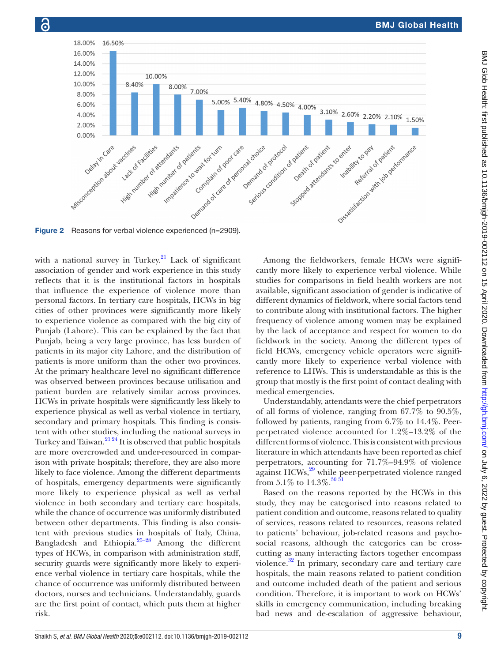

with a national survey in Turkey. $^{21}$  Lack of significant association of gender and work experience in this study reflects that it is the institutional factors in hospitals that influence the experience of violence more than personal factors. In tertiary care hospitals, HCWs in big cities of other provinces were significantly more likely to experience violence as compared with the big city of Punjab (Lahore). This can be explained by the fact that Punjab, being a very large province, has less burden of patients in its major city Lahore, and the distribution of patients is more uniform than the other two provinces. At the primary healthcare level no significant difference was observed between provinces because utilisation and patient burden are relatively similar across provinces. HCWs in private hospitals were significantly less likely to experience physical as well as verbal violence in tertiary, secondary and primary hospitals. This finding is consistent with other studies, including the national surveys in Turkey and Taiwan. $^{21\,24}$  It is observed that public hospitals are more overcrowded and under-resourced in comparison with private hospitals; therefore, they are also more likely to face violence. Among the different departments of hospitals, emergency departments were significantly more likely to experience physical as well as verbal violence in both secondary and tertiary care hospitals, while the chance of occurrence was uniformly distributed between other departments. This finding is also consistent with previous studies in hospitals of Italy, China, Bangladesh and Ethiopia[.25–28](#page-12-14) Among the different types of HCWs, in comparison with administration staff, security guards were significantly more likely to experience verbal violence in tertiary care hospitals, while the chance of occurrence was uniformly distributed between doctors, nurses and technicians. Understandably, guards are the first point of contact, which puts them at higher risk.

Among the fieldworkers, female HCWs were significantly more likely to experience verbal violence. While studies for comparisons in field health workers are not available, significant association of gender is indicative of different dynamics of fieldwork, where social factors tend to contribute along with institutional factors. The higher frequency of violence among women may be explained by the lack of acceptance and respect for women to do fieldwork in the society. Among the different types of field HCWs, emergency vehicle operators were significantly more likely to experience verbal violence with reference to LHWs. This is understandable as this is the group that mostly is the first point of contact dealing with medical emergencies.

Understandably, attendants were the chief perpetrators of all forms of violence, ranging from 67.7% to 90.5%, followed by patients, ranging from 6.7% to 14.4%. Peerperpetrated violence accounted for 1.2%–13.2% of the different forms of violence. This is consistent with previous literature in which attendants have been reported as chief perpetrators, accounting for 71.7%–94.9% of violence against HCWs,<sup>29</sup> while peer-perpetrated violence ranged from 5.1% to  $14.3\%$ .<sup>[30 31](#page-12-16)</sup>

Based on the reasons reported by the HCWs in this study, they may be categorised into reasons related to patient condition and outcome, reasons related to quality of services, reasons related to resources, reasons related to patients' behaviour, job-related reasons and psychosocial reasons, although the categories can be crosscutting as many interacting factors together encompass violence.<sup>32</sup> In primary, secondary care and tertiary care hospitals, the main reasons related to patient condition and outcome included death of the patient and serious condition. Therefore, it is important to work on HCWs' skills in emergency communication, including breaking bad news and de-escalation of aggressive behaviour,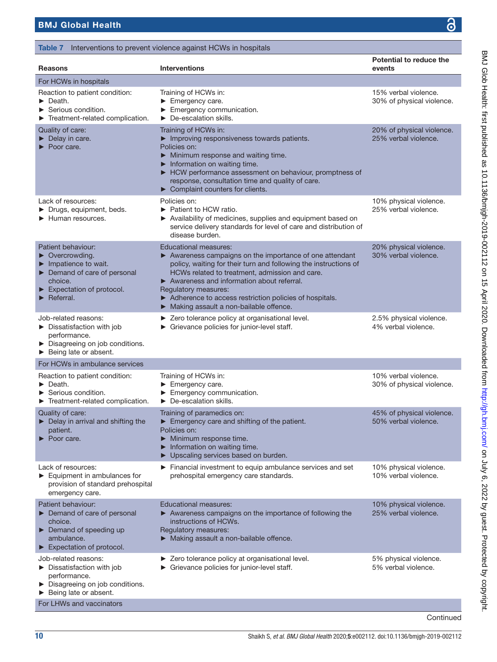BMJ Glob Health: first published as 10.1136/bmigh-2019-002112 on 15 April 2020. Downloaded from http://gh.bmj.com/ on July 6, 2022 by guest. Protected by copyright. BMJ Glob Health: first published as 10.1136/bmigh-2019-002112 on 15 April 2020. Downloaded from <http://gh.bmj.com/> on July 6, 2022 by guest. Protected by copyright.

<span id="page-9-0"></span>

| Table 7 Interventions to prevent violence against HCWs in hospitals                                                                                                                                       |                                                                                                                                                                                                                                                                                                                                                                                         |                                                   |  |  |  |  |  |
|-----------------------------------------------------------------------------------------------------------------------------------------------------------------------------------------------------------|-----------------------------------------------------------------------------------------------------------------------------------------------------------------------------------------------------------------------------------------------------------------------------------------------------------------------------------------------------------------------------------------|---------------------------------------------------|--|--|--|--|--|
| <b>Reasons</b>                                                                                                                                                                                            | <b>Interventions</b>                                                                                                                                                                                                                                                                                                                                                                    | Potential to reduce the<br>events                 |  |  |  |  |  |
| For HCWs in hospitals                                                                                                                                                                                     |                                                                                                                                                                                                                                                                                                                                                                                         |                                                   |  |  |  |  |  |
| Reaction to patient condition:<br>Death.<br>$\blacktriangleright$ Serious condition.<br>Treatment-related complication.                                                                                   | Training of HCWs in:<br>Emergency care.<br>Emergency communication.<br>$\triangleright$ De-escalation skills.                                                                                                                                                                                                                                                                           | 15% verbal violence.<br>30% of physical violence. |  |  |  |  |  |
| Quality of care:<br>Delay in care.<br>Poor care.                                                                                                                                                          | Training of HCWs in:<br>Improving responsiveness towards patients.<br>Policies on:<br>Minimum response and waiting time.<br>Information on waiting time.<br>Example HCW performance assessment on behaviour, promptness of<br>response, consultation time and quality of care.<br>Complaint counters for clients.                                                                       | 20% of physical violence.<br>25% verbal violence. |  |  |  |  |  |
| Lack of resources:<br>> Drugs, equipment, beds.<br>Human resources.                                                                                                                                       | Policies on:<br>► Patient to HCW ratio.<br>▶ Availability of medicines, supplies and equipment based on<br>service delivery standards for level of care and distribution of<br>disease burden.                                                                                                                                                                                          | 10% physical violence.<br>25% verbal violence.    |  |  |  |  |  |
| Patient behaviour:<br>$\triangleright$ Overcrowding.<br>$\blacktriangleright$ Impatience to wait.<br>Demand of care of personal<br>choice.<br>Expectation of protocol.<br>$\blacktriangleright$ Referral. | <b>Educational measures:</b><br>> Awareness campaigns on the importance of one attendant<br>policy, waiting for their turn and following the instructions of<br>HCWs related to treatment, admission and care.<br>Awareness and information about referral.<br>Regulatory measures:<br>Adherence to access restriction policies of hospitals.<br>Making assault a non-bailable offence. | 20% physical violence.<br>30% verbal violence.    |  |  |  |  |  |
| Job-related reasons:<br>$\triangleright$ Dissatisfaction with job<br>performance.<br>> Disagreeing on job conditions.<br>Being late or absent.                                                            | > Zero tolerance policy at organisational level.<br>▶ Grievance policies for junior-level staff.                                                                                                                                                                                                                                                                                        | 2.5% physical violence.<br>4% verbal violence.    |  |  |  |  |  |
| For HCWs in ambulance services                                                                                                                                                                            |                                                                                                                                                                                                                                                                                                                                                                                         |                                                   |  |  |  |  |  |
| Reaction to patient condition:<br>$\blacktriangleright$ Death.<br>Serious condition.<br>Treatment-related complication.                                                                                   | Training of HCWs in:<br>Emergency care.<br>Emergency communication.<br>$\triangleright$ De-escalation skills.                                                                                                                                                                                                                                                                           | 10% verbal violence.<br>30% of physical violence. |  |  |  |  |  |
| Quality of care:<br>$\blacktriangleright$ Delay in arrival and shifting the<br>patient.<br>$\blacktriangleright$ Poor care.                                                                               | Training of paramedics on:<br>Emergency care and shifting of the patient.<br>Policies on:<br>Minimum response time.<br>Information on waiting time.<br>▶ Upscaling services based on burden.                                                                                                                                                                                            | 45% of physical violence.<br>50% verbal violence. |  |  |  |  |  |
| Lack of resources:<br>$\blacktriangleright$ Equipment in ambulances for<br>provision of standard prehospital<br>emergency care.                                                                           | Financial investment to equip ambulance services and set<br>prehospital emergency care standards.                                                                                                                                                                                                                                                                                       | 10% physical violence.<br>10% verbal violence.    |  |  |  |  |  |
| Patient behaviour:<br>Demand of care of personal<br>choice.<br>$\blacktriangleright$ Demand of speeding up<br>ambulance.<br>$\blacktriangleright$ Expectation of protocol.                                | <b>Educational measures:</b><br>Awareness campaigns on the importance of following the<br>instructions of HCWs.<br>Regulatory measures:<br>Making assault a non-bailable offence.                                                                                                                                                                                                       | 10% physical violence.<br>25% verbal violence.    |  |  |  |  |  |
| Job-related reasons:<br>Dissatisfaction with job<br>performance.<br>> Disagreeing on job conditions.<br>Being late or absent.<br>For LHWs and vaccinators                                                 | > Zero tolerance policy at organisational level.<br>► Grievance policies for junior-level staff.                                                                                                                                                                                                                                                                                        | 5% physical violence.<br>5% verbal violence.      |  |  |  |  |  |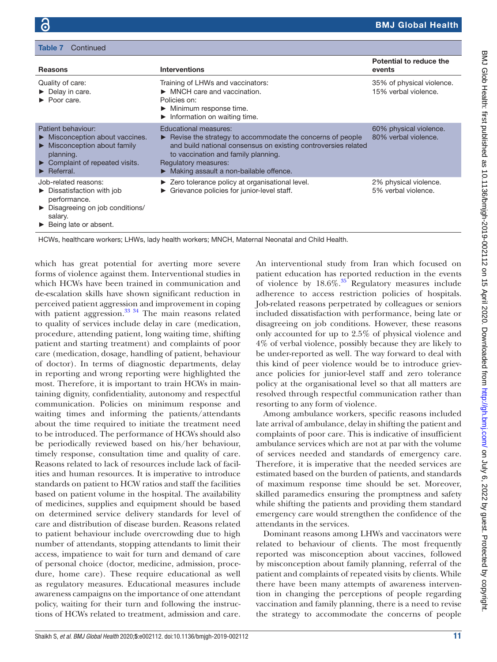Continue

| <b>Reasons</b>                                                                                                                                                                                            | <b>Interventions</b>                                                                                                                                                                                                                                                                       | Potential to reduce the<br>events                 |
|-----------------------------------------------------------------------------------------------------------------------------------------------------------------------------------------------------------|--------------------------------------------------------------------------------------------------------------------------------------------------------------------------------------------------------------------------------------------------------------------------------------------|---------------------------------------------------|
| Quality of care:<br>$\triangleright$ Delay in care.<br>$\blacktriangleright$ Poor care.                                                                                                                   | Training of LHWs and vaccinators:<br>$\triangleright$ MNCH care and vaccination.<br>Policies on:<br>Minimum response time.<br>$\blacktriangleright$ Information on waiting time.                                                                                                           | 35% of physical violence.<br>15% verbal violence. |
| Patient behaviour:<br>Misconception about vaccines.<br>$\blacktriangleright$ Misconception about family<br>planning.<br>$\triangleright$ Complaint of repeated visits.<br>$\blacktriangleright$ Referral. | <b>Educational measures:</b><br>$\blacktriangleright$ Revise the strategy to accommodate the concerns of people<br>and build national consensus on existing controversies related<br>to vaccination and family planning.<br>Regulatory measures:<br>Making assault a non-bailable offence. | 60% physical violence.<br>80% verbal violence.    |
| Job-related reasons:<br>$\triangleright$ Dissatisfaction with job<br>performance.<br>▶ Disagreeing on job conditions/<br>salary.<br>$\triangleright$ Being late or absent.                                | ► Zero tolerance policy at organisational level.<br>$\triangleright$ Grievance policies for junior-level staff.                                                                                                                                                                            | 2% physical violence.<br>5% verbal violence.      |

HCWs, healthcare workers; LHWs, lady health workers; MNCH, Maternal Neonatal and Child Health.

which has great potential for averting more severe forms of violence against them. Interventional studies in which HCWs have been trained in communication and de-escalation skills have shown significant reduction in perceived patient aggression and improvement in coping with patient aggression.<sup>33</sup><sup>34</sup> The main reasons related to quality of services include delay in care (medication, procedure, attending patient, long waiting time, shifting patient and starting treatment) and complaints of poor care (medication, dosage, handling of patient, behaviour of doctor). In terms of diagnostic departments, delay in reporting and wrong reporting were highlighted the most. Therefore, it is important to train HCWs in maintaining dignity, confidentiality, autonomy and respectful communication. Policies on minimum response and waiting times and informing the patients/attendants about the time required to initiate the treatment need to be introduced. The performance of HCWs should also be periodically reviewed based on his/her behaviour, timely response, consultation time and quality of care. Reasons related to lack of resources include lack of facilities and human resources. It is imperative to introduce standards on patient to HCW ratios and staff the facilities based on patient volume in the hospital. The availability of medicines, supplies and equipment should be based on determined service delivery standards for level of care and distribution of disease burden. Reasons related to patient behaviour include overcrowding due to high number of attendants, stopping attendants to limit their access, impatience to wait for turn and demand of care of personal choice (doctor, medicine, admission, procedure, home care). These require educational as well as regulatory measures. Educational measures include awareness campaigns on the importance of one attendant policy, waiting for their turn and following the instructions of HCWs related to treatment, admission and care.

An interventional study from Iran which focused on patient education has reported reduction in the events of violence by  $18.6\%$ .<sup>[35](#page-12-19)</sup> Regulatory measures include adherence to access restriction policies of hospitals. Job-related reasons perpetrated by colleagues or seniors included dissatisfaction with performance, being late or disagreeing on job conditions. However, these reasons only accounted for up to 2.5% of physical violence and 4% of verbal violence, possibly because they are likely to be under-reported as well. The way forward to deal with this kind of peer violence would be to introduce grievance policies for junior-level staff and zero tolerance policy at the organisational level so that all matters are resolved through respectful communication rather than resorting to any form of violence.

Among ambulance workers, specific reasons included late arrival of ambulance, delay in shifting the patient and complaints of poor care. This is indicative of insufficient ambulance services which are not at par with the volume of services needed and standards of emergency care. Therefore, it is imperative that the needed services are estimated based on the burden of patients, and standards of maximum response time should be set. Moreover, skilled paramedics ensuring the promptness and safety while shifting the patients and providing them standard emergency care would strengthen the confidence of the attendants in the services.

Dominant reasons among LHWs and vaccinators were related to behaviour of clients. The most frequently reported was misconception about vaccines, followed by misconception about family planning, referral of the patient and complaints of repeated visits by clients. While there have been many attempts of awareness intervention in changing the perceptions of people regarding vaccination and family planning, there is a need to revise the strategy to accommodate the concerns of people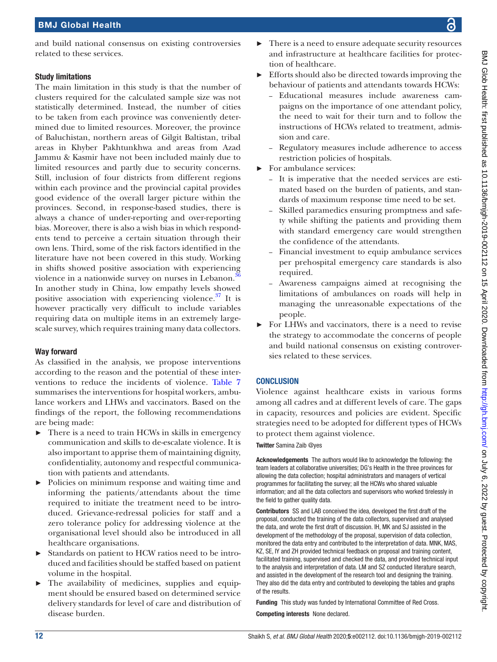# Study limitations

The main limitation in this study is that the number of clusters required for the calculated sample size was not statistically determined. Instead, the number of cities to be taken from each province was conveniently determined due to limited resources. Moreover, the province of Baluchistan, northern areas of Gilgit Baltistan, tribal areas in Khyber Pakhtunkhwa and areas from Azad Jammu & Kasmir have not been included mainly due to limited resources and partly due to security concerns. Still, inclusion of four districts from different regions within each province and the provincial capital provides good evidence of the overall larger picture within the provinces. Second, in response-based studies, there is always a chance of under-reporting and over-reporting bias. Moreover, there is also a wish bias in which respondents tend to perceive a certain situation through their own lens. Third, some of the risk factors identified in the literature have not been covered in this study. Working in shifts showed positive association with experiencing violence in a nationwide survey on nurses in Lebanon.<sup>3</sup> In another study in China, low empathy levels showed positive association with experiencing violence.<sup>37</sup> It is however practically very difficult to include variables requiring data on multiple items in an extremely largescale survey, which requires training many data collectors.

# Way forward

As classified in the analysis, we propose interventions according to the reason and the potential of these interventions to reduce the incidents of violence. [Table](#page-9-0) 7 summarises the interventions for hospital workers, ambulance workers and LHWs and vaccinators. Based on the findings of the report, the following recommendations are being made:

- $\blacktriangleright$  There is a need to train HCWs in skills in emergency communication and skills to de-escalate violence. It is also important to apprise them of maintaining dignity, confidentiality, autonomy and respectful communication with patients and attendants.
- ► Policies on minimum response and waiting time and informing the patients/attendants about the time required to initiate the treatment need to be introduced. Grievance-redressal policies for staff and a zero tolerance policy for addressing violence at the organisational level should also be introduced in all healthcare organisations.
- Standards on patient to HCW ratios need to be introduced and facilities should be staffed based on patient volume in the hospital.
- ► The availability of medicines, supplies and equipment should be ensured based on determined service delivery standards for level of care and distribution of disease burden.
- ► There is a need to ensure adequate security resources and infrastructure at healthcare facilities for protection of healthcare.
- ► Efforts should also be directed towards improving the behaviour of patients and attendants towards HCWs:
	- Educational measures include awareness campaigns on the importance of one attendant policy, the need to wait for their turn and to follow the instructions of HCWs related to treatment, admission and care.
	- Regulatory measures include adherence to access restriction policies of hospitals.
- ► For ambulance services:
	- It is imperative that the needed services are estimated based on the burden of patients, and standards of maximum response time need to be set.
	- Skilled paramedics ensuring promptness and safety while shifting the patients and providing them with standard emergency care would strengthen the confidence of the attendants.
	- Financial investment to equip ambulance services per prehospital emergency care standards is also required.
	- Awareness campaigns aimed at recognising the limitations of ambulances on roads will help in managing the unreasonable expectations of the people.
- ► For LHWs and vaccinators, there is a need to revise the strategy to accommodate the concerns of people and build national consensus on existing controversies related to these services.

# **CONCLUSION**

Violence against healthcare exists in various forms among all cadres and at different levels of care. The gaps in capacity, resources and policies are evident. Specific strategies need to be adopted for different types of HCWs to protect them against violence.

Twitter Samina Zaib [@yes](https://twitter.com/yes)

Acknowledgements The authors would like to acknowledge the following: the team leaders at collaborative universities; DG's Health in the three provinces for allowing the data collection; hospital administrators and managers of vertical programmes for facilitating the survey; all the HCWs who shared valuable information; and all the data collectors and supervisors who worked tirelessly in the field to gather quality data.

Contributors SS and LAB conceived the idea, developed the first draft of the proposal, conducted the training of the data collectors, supervised and analysed the data, and wrote the first draft of discussion. IH, MK and SJ assisted in the development of the methodology of the proposal, supervision of data collection, monitored the data entry and contributed to the interpretation of data. MNK, MAS, KZ, SE, IY and ZH provided technical feedback on proposal and training content, facilitated training, supervised and checked the data, and provided technical input to the analysis and interpretation of data. LM and SZ conducted literature search, and assisted in the development of the research tool and designing the training. They also did the data entry and contributed to developing the tables and graphs of the results.

Funding This study was funded by International Committee of Red Cross. Competing interests None declared.